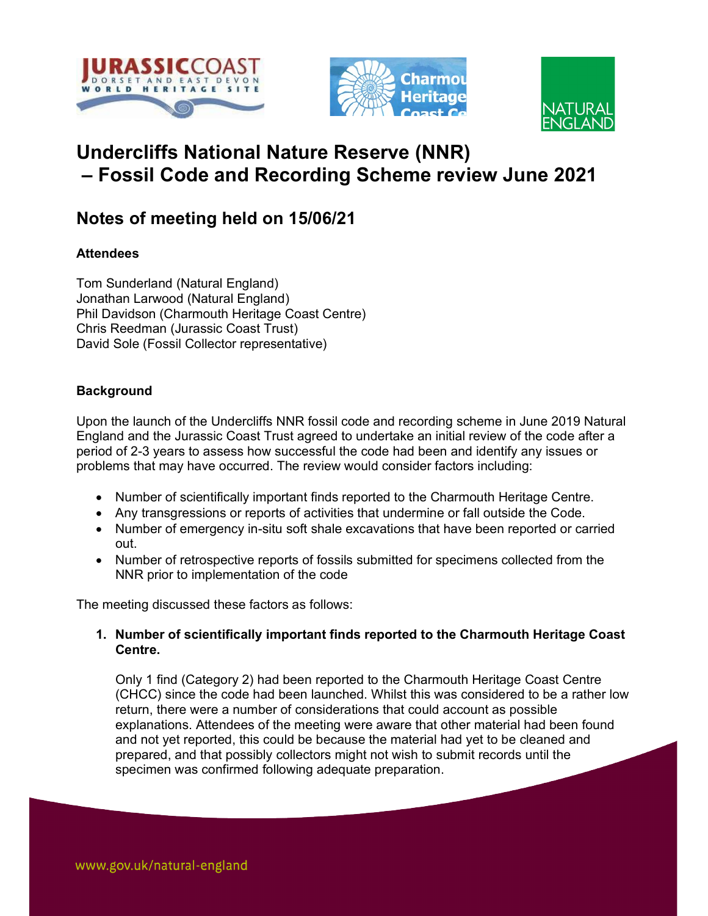





# Undercliffs National Nature Reserve (NNR) – Fossil Code and Recording Scheme review June 2021

## Notes of meeting held on 15/06/21

## **Attendees**

Tom Sunderland (Natural England) Jonathan Larwood (Natural England) Phil Davidson (Charmouth Heritage Coast Centre) Chris Reedman (Jurassic Coast Trust) David Sole (Fossil Collector representative)

## **Background**

Upon the launch of the Undercliffs NNR fossil code and recording scheme in June 2019 Natural England and the Jurassic Coast Trust agreed to undertake an initial review of the code after a period of 2-3 years to assess how successful the code had been and identify any issues or problems that may have occurred. The review would consider factors including:

- Number of scientifically important finds reported to the Charmouth Heritage Centre.
- Any transgressions or reports of activities that undermine or fall outside the Code.
- Number of emergency in-situ soft shale excavations that have been reported or carried out.
- Number of retrospective reports of fossils submitted for specimens collected from the NNR prior to implementation of the code

The meeting discussed these factors as follows:

### 1. Number of scientifically important finds reported to the Charmouth Heritage Coast Centre.

Only 1 find (Category 2) had been reported to the Charmouth Heritage Coast Centre (CHCC) since the code had been launched. Whilst this was considered to be a rather low return, there were a number of considerations that could account as possible explanations. Attendees of the meeting were aware that other material had been found and not yet reported, this could be because the material had yet to be cleaned and prepared, and that possibly collectors might not wish to submit records until the specimen was confirmed following adequate preparation.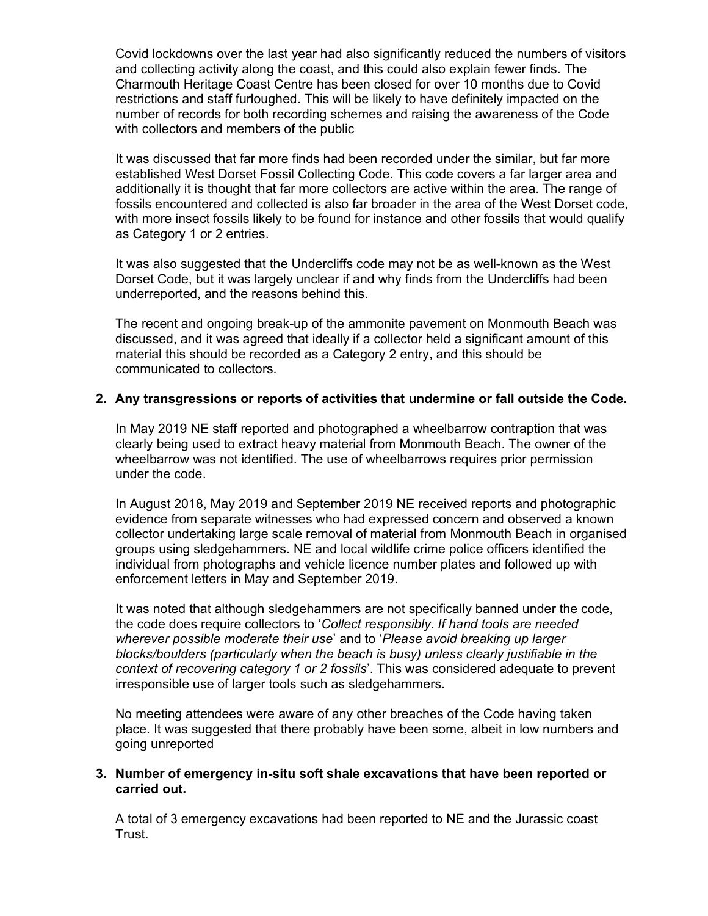Covid lockdowns over the last year had also significantly reduced the numbers of visitors and collecting activity along the coast, and this could also explain fewer finds. The Charmouth Heritage Coast Centre has been closed for over 10 months due to Covid restrictions and staff furloughed. This will be likely to have definitely impacted on the number of records for both recording schemes and raising the awareness of the Code with collectors and members of the public

It was discussed that far more finds had been recorded under the similar, but far more established West Dorset Fossil Collecting Code. This code covers a far larger area and additionally it is thought that far more collectors are active within the area. The range of fossils encountered and collected is also far broader in the area of the West Dorset code, with more insect fossils likely to be found for instance and other fossils that would qualify as Category 1 or 2 entries.

It was also suggested that the Undercliffs code may not be as well-known as the West Dorset Code, but it was largely unclear if and why finds from the Undercliffs had been underreported, and the reasons behind this.

The recent and ongoing break-up of the ammonite pavement on Monmouth Beach was discussed, and it was agreed that ideally if a collector held a significant amount of this material this should be recorded as a Category 2 entry, and this should be communicated to collectors.

#### 2. Any transgressions or reports of activities that undermine or fall outside the Code.

In May 2019 NE staff reported and photographed a wheelbarrow contraption that was clearly being used to extract heavy material from Monmouth Beach. The owner of the wheelbarrow was not identified. The use of wheelbarrows requires prior permission under the code.

In August 2018, May 2019 and September 2019 NE received reports and photographic evidence from separate witnesses who had expressed concern and observed a known collector undertaking large scale removal of material from Monmouth Beach in organised groups using sledgehammers. NE and local wildlife crime police officers identified the individual from photographs and vehicle licence number plates and followed up with enforcement letters in May and September 2019.

It was noted that although sledgehammers are not specifically banned under the code, the code does require collectors to 'Collect responsibly. If hand tools are needed wherever possible moderate their use' and to 'Please avoid breaking up larger blocks/boulders (particularly when the beach is busy) unless clearly justifiable in the context of recovering category 1 or 2 fossils'. This was considered adequate to prevent irresponsible use of larger tools such as sledgehammers.

No meeting attendees were aware of any other breaches of the Code having taken place. It was suggested that there probably have been some, albeit in low numbers and going unreported

#### 3. Number of emergency in-situ soft shale excavations that have been reported or carried out.

A total of 3 emergency excavations had been reported to NE and the Jurassic coast Trust.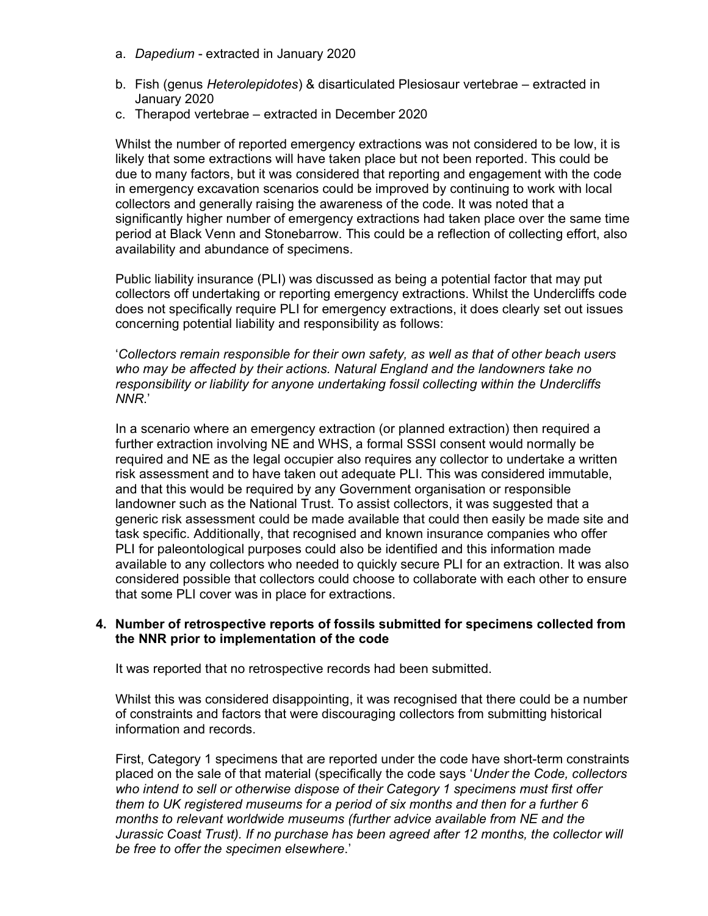- a. Dapedium extracted in January 2020
- b. Fish (genus Heterolepidotes) & disarticulated Plesiosaur vertebrae extracted in January 2020
- c. Therapod vertebrae extracted in December 2020

Whilst the number of reported emergency extractions was not considered to be low, it is likely that some extractions will have taken place but not been reported. This could be due to many factors, but it was considered that reporting and engagement with the code in emergency excavation scenarios could be improved by continuing to work with local collectors and generally raising the awareness of the code. It was noted that a significantly higher number of emergency extractions had taken place over the same time period at Black Venn and Stonebarrow. This could be a reflection of collecting effort, also availability and abundance of specimens.

Public liability insurance (PLI) was discussed as being a potential factor that may put collectors off undertaking or reporting emergency extractions. Whilst the Undercliffs code does not specifically require PLI for emergency extractions, it does clearly set out issues concerning potential liability and responsibility as follows:

'Collectors remain responsible for their own safety, as well as that of other beach users who may be affected by their actions. Natural England and the landowners take no responsibility or liability for anyone undertaking fossil collecting within the Undercliffs NNR.'

In a scenario where an emergency extraction (or planned extraction) then required a further extraction involving NE and WHS, a formal SSSI consent would normally be required and NE as the legal occupier also requires any collector to undertake a written risk assessment and to have taken out adequate PLI. This was considered immutable, and that this would be required by any Government organisation or responsible landowner such as the National Trust. To assist collectors, it was suggested that a generic risk assessment could be made available that could then easily be made site and task specific. Additionally, that recognised and known insurance companies who offer PLI for paleontological purposes could also be identified and this information made available to any collectors who needed to quickly secure PLI for an extraction. It was also considered possible that collectors could choose to collaborate with each other to ensure that some PLI cover was in place for extractions.

#### 4. Number of retrospective reports of fossils submitted for specimens collected from the NNR prior to implementation of the code

It was reported that no retrospective records had been submitted.

Whilst this was considered disappointing, it was recognised that there could be a number of constraints and factors that were discouraging collectors from submitting historical information and records.

First, Category 1 specimens that are reported under the code have short-term constraints placed on the sale of that material (specifically the code says 'Under the Code, collectors who intend to sell or otherwise dispose of their Category 1 specimens must first offer them to UK registered museums for a period of six months and then for a further 6 months to relevant worldwide museums (further advice available from NE and the Jurassic Coast Trust). If no purchase has been agreed after 12 months, the collector will be free to offer the specimen elsewhere.'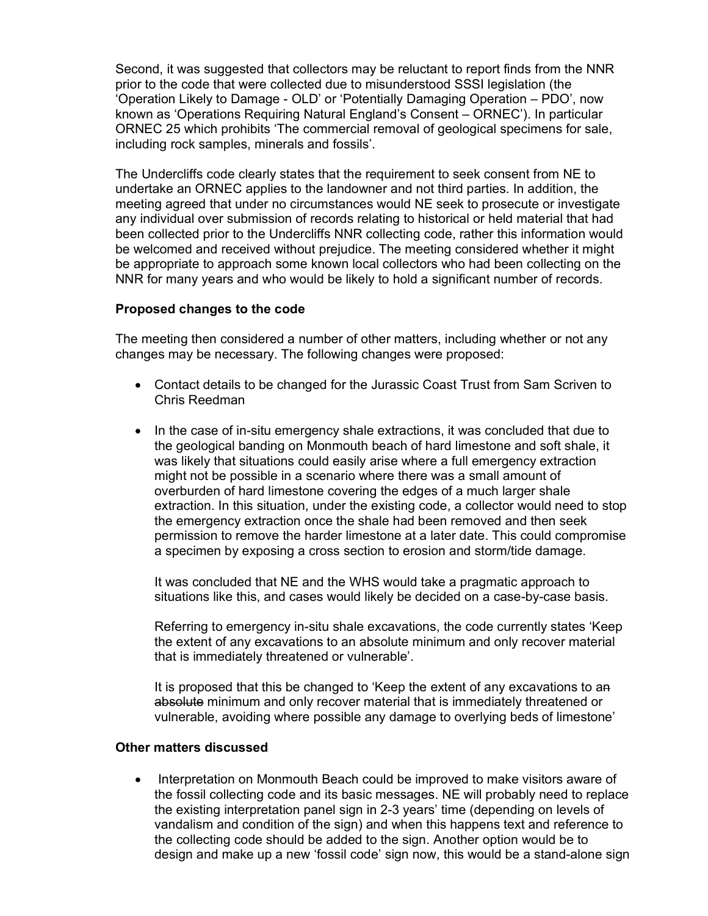Second, it was suggested that collectors may be reluctant to report finds from the NNR prior to the code that were collected due to misunderstood SSSI legislation (the 'Operation Likely to Damage - OLD' or 'Potentially Damaging Operation – PDO', now known as 'Operations Requiring Natural England's Consent – ORNEC'). In particular ORNEC 25 which prohibits 'The commercial removal of geological specimens for sale, including rock samples, minerals and fossils'.

The Undercliffs code clearly states that the requirement to seek consent from NE to undertake an ORNEC applies to the landowner and not third parties. In addition, the meeting agreed that under no circumstances would NE seek to prosecute or investigate any individual over submission of records relating to historical or held material that had been collected prior to the Undercliffs NNR collecting code, rather this information would be welcomed and received without prejudice. The meeting considered whether it might be appropriate to approach some known local collectors who had been collecting on the NNR for many years and who would be likely to hold a significant number of records.

#### Proposed changes to the code

The meeting then considered a number of other matters, including whether or not any changes may be necessary. The following changes were proposed:

- Contact details to be changed for the Jurassic Coast Trust from Sam Scriven to Chris Reedman
- In the case of in-situ emergency shale extractions, it was concluded that due to the geological banding on Monmouth beach of hard limestone and soft shale, it was likely that situations could easily arise where a full emergency extraction might not be possible in a scenario where there was a small amount of overburden of hard limestone covering the edges of a much larger shale extraction. In this situation, under the existing code, a collector would need to stop the emergency extraction once the shale had been removed and then seek permission to remove the harder limestone at a later date. This could compromise a specimen by exposing a cross section to erosion and storm/tide damage.

It was concluded that NE and the WHS would take a pragmatic approach to situations like this, and cases would likely be decided on a case-by-case basis.

Referring to emergency in-situ shale excavations, the code currently states 'Keep the extent of any excavations to an absolute minimum and only recover material that is immediately threatened or vulnerable'.

It is proposed that this be changed to 'Keep the extent of any excavations to an absolute minimum and only recover material that is immediately threatened or vulnerable, avoiding where possible any damage to overlying beds of limestone'

#### Other matters discussed

 Interpretation on Monmouth Beach could be improved to make visitors aware of the fossil collecting code and its basic messages. NE will probably need to replace the existing interpretation panel sign in 2-3 years' time (depending on levels of vandalism and condition of the sign) and when this happens text and reference to the collecting code should be added to the sign. Another option would be to design and make up a new 'fossil code' sign now, this would be a stand-alone sign